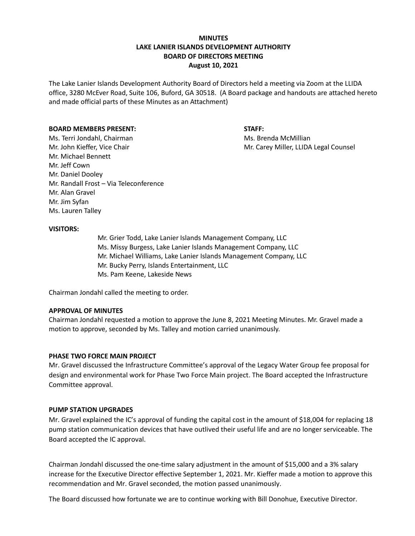# **MINUTES LAKE LANIER ISLANDS DEVELOPMENT AUTHORITY BOARD OF DIRECTORS MEETING August 10, 2021**

The Lake Lanier Islands Development Authority Board of Directors held a meeting via Zoom at the LLIDA office, 3280 McEver Road, Suite 106, Buford, GA 30518. (A Board package and handouts are attached hereto and made official parts of these Minutes as an Attachment)

### **BOARD MEMBERS PRESENT: STAFF:**

Ms. Terri Jondahl, Chairman Ms. Brenda McMillian Mr. John Kieffer, Vice Chair Museum Mr. Carey Miller, LLIDA Legal Counsel Mr. Michael Bennett Mr. Jeff Cown Mr. Daniel Dooley Mr. Randall Frost – Via Teleconference Mr. Alan Gravel Mr. Jim Syfan Ms. Lauren Talley

### **VISITORS:**

Mr. Grier Todd, Lake Lanier Islands Management Company, LLC Ms. Missy Burgess, Lake Lanier Islands Management Company, LLC Mr. Michael Williams, Lake Lanier Islands Management Company, LLC Mr. Bucky Perry, Islands Entertainment, LLC Ms. Pam Keene, Lakeside News

Chairman Jondahl called the meeting to order.

# **APPROVAL OF MINUTES**

Chairman Jondahl requested a motion to approve the June 8, 2021 Meeting Minutes. Mr. Gravel made a motion to approve, seconded by Ms. Talley and motion carried unanimously.

#### **PHASE TWO FORCE MAIN PROJECT**

Mr. Gravel discussed the Infrastructure Committee's approval of the Legacy Water Group fee proposal for design and environmental work for Phase Two Force Main project. The Board accepted the Infrastructure Committee approval.

#### **PUMP STATION UPGRADES**

Mr. Gravel explained the IC's approval of funding the capital cost in the amount of \$18,004 for replacing 18 pump station communication devices that have outlived their useful life and are no longer serviceable. The Board accepted the IC approval.

Chairman Jondahl discussed the one-time salary adjustment in the amount of \$15,000 and a 3% salary increase for the Executive Director effective September 1, 2021. Mr. Kieffer made a motion to approve this recommendation and Mr. Gravel seconded, the motion passed unanimously.

The Board discussed how fortunate we are to continue working with Bill Donohue, Executive Director.